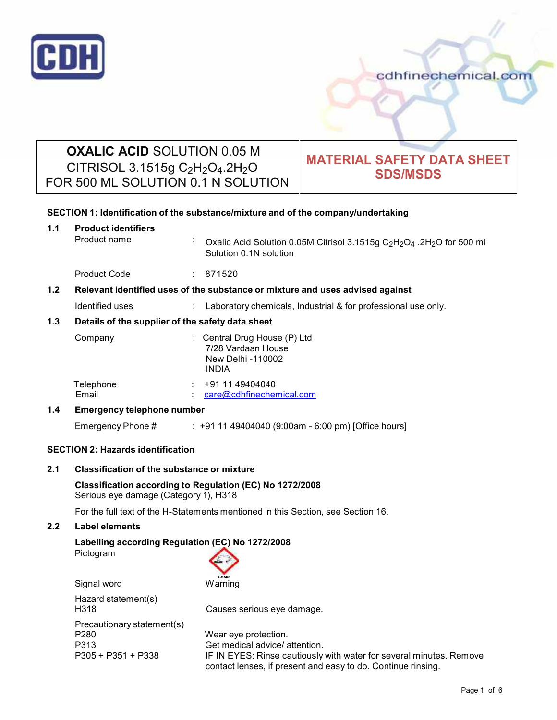

# **OXALIC ACID** SOLUTION 0.05 M CITRISOL 3.1515g C2H2O4.2H2O FOR 500 ML SOLUTION 0.1 N SOLUTION

# **MATERIAL SAFETY DATA SHEET SDS/MSDS**

| SECTION 1: Identification of the substance/mixture and of the company/undertaking |                                                                                  |                                                                                                                                                        |                                                                                                                                                  |  |
|-----------------------------------------------------------------------------------|----------------------------------------------------------------------------------|--------------------------------------------------------------------------------------------------------------------------------------------------------|--------------------------------------------------------------------------------------------------------------------------------------------------|--|
| 1.1                                                                               | <b>Product identifiers</b><br>Product name                                       |                                                                                                                                                        | Oxalic Acid Solution 0.05M Citrisol 3.1515g C <sub>2</sub> H <sub>2</sub> O <sub>4</sub> .2H <sub>2</sub> O for 500 ml<br>Solution 0.1N solution |  |
|                                                                                   | <b>Product Code</b>                                                              |                                                                                                                                                        | : 871520                                                                                                                                         |  |
| 1.2                                                                               | Relevant identified uses of the substance or mixture and uses advised against    |                                                                                                                                                        |                                                                                                                                                  |  |
|                                                                                   | Identified uses                                                                  |                                                                                                                                                        | : Laboratory chemicals, Industrial & for professional use only.                                                                                  |  |
| 1.3<br>Details of the supplier of the safety data sheet                           |                                                                                  |                                                                                                                                                        |                                                                                                                                                  |  |
|                                                                                   | Company                                                                          |                                                                                                                                                        | : Central Drug House (P) Ltd<br>7/28 Vardaan House<br>New Delhi -110002<br><b>INDIA</b>                                                          |  |
|                                                                                   | Telephone<br>Email                                                               |                                                                                                                                                        | $\div$ +91 11 49404040<br>care@cdhfinechemical.com                                                                                               |  |
| 1.4                                                                               | <b>Emergency telephone number</b>                                                |                                                                                                                                                        |                                                                                                                                                  |  |
|                                                                                   | Emergency Phone #                                                                |                                                                                                                                                        | : +91 11 49404040 (9:00am - 6:00 pm) [Office hours]                                                                                              |  |
| <b>SECTION 2: Hazards identification</b>                                          |                                                                                  |                                                                                                                                                        |                                                                                                                                                  |  |
| 2.1                                                                               |                                                                                  | <b>Classification of the substance or mixture</b><br>Classification according to Regulation (EC) No 1272/2008<br>Serious eye damage (Category 1), H318 |                                                                                                                                                  |  |
|                                                                                   |                                                                                  |                                                                                                                                                        |                                                                                                                                                  |  |
|                                                                                   | For the full text of the H-Statements mentioned in this Section, see Section 16. |                                                                                                                                                        |                                                                                                                                                  |  |

## **2.2 Label elements**

## **Labelling according Regulation (EC) No 1272/2008**

Pictogram

| Signal word                                                      | <b>GHS05</b><br>Warning                                                                                                                                                                       |
|------------------------------------------------------------------|-----------------------------------------------------------------------------------------------------------------------------------------------------------------------------------------------|
| Hazard statement(s)<br>H318                                      | Causes serious eye damage.                                                                                                                                                                    |
| Precautionary statement(s)<br>P280<br>P313<br>P305 + P351 + P338 | Wear eye protection.<br>Get medical advice/ attention.<br>IF IN EYES: Rinse cautiously with water for several minutes. Remove<br>contact lenses, if present and easy to do. Continue rinsing. |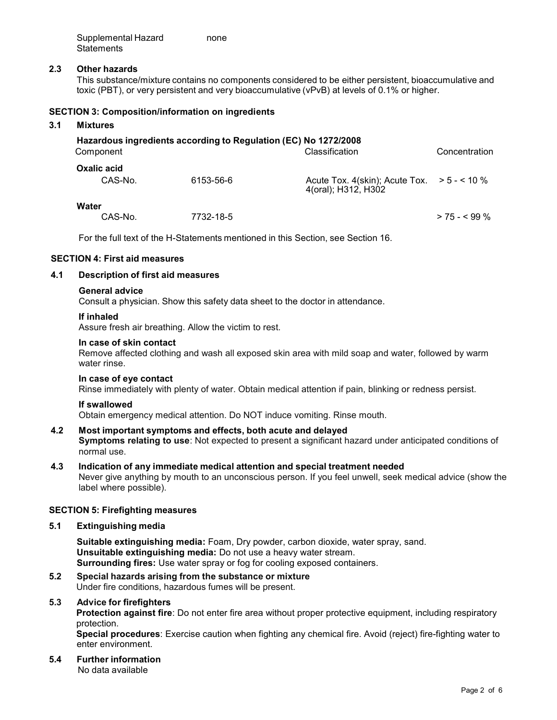Supplemental Hazard none **Statements** 

### **2.3 Other hazards**

This substance/mixture contains no components considered to be either persistent, bioaccumulative and toxic (PBT), or very persistent and very bioaccumulative (vPvB) at levels of 0.1% or higher.

#### **SECTION 3: Composition/information on ingredients**

#### **3.1 Mixtures**

| Component                     | Hazardous ingredients according to Regulation (EC) No 1272/2008 | Classification                                                     | Concentration   |
|-------------------------------|-----------------------------------------------------------------|--------------------------------------------------------------------|-----------------|
| <b>Oxalic acid</b><br>CAS-No. | 6153-56-6                                                       | Acute Tox. 4(skin); Acute Tox. $> 5 - 10\%$<br>4(oral); H312, H302 |                 |
| Water<br>CAS-No.              | 7732-18-5                                                       |                                                                    | $> 75 - 5.99$ % |

For the full text of the H-Statements mentioned in this Section, see Section 16.

#### **SECTION 4: First aid measures**

## **4.1 Description of first aid measures**

#### **General advice**

Consult a physician. Show this safety data sheet to the doctor in attendance.

#### **If inhaled**

Assure fresh air breathing. Allow the victim to rest.

#### **In case of skin contact**

Remove affected clothing and wash all exposed skin area with mild soap and water, followed by warm water rinse.

#### **In case of eye contact**

Rinse immediately with plenty of water. Obtain medical attention if pain, blinking or redness persist.

### **If swallowed**

Obtain emergency medical attention. Do NOT induce vomiting. Rinse mouth.

## **4.2 Most important symptoms and effects, both acute and delayed**

**Symptoms relating to use**: Not expected to present a significant hazard under anticipated conditions of normal use.

#### **4.3 Indication of any immediate medical attention and special treatment needed**

Never give anything by mouth to an unconscious person. If you feel unwell, seek medical advice (show the label where possible).

#### **SECTION 5: Firefighting measures**

#### **5.1 Extinguishing media**

**Suitable extinguishing media:** Foam, Dry powder, carbon dioxide, water spray, sand. **Unsuitable extinguishing media:** Do not use a heavy water stream. **Surrounding fires:** Use water spray or fog for cooling exposed containers.

**5.2 Special hazards arising from the substance ormixture** Under fire conditions, hazardous fumes will be present.

#### **5.3 Advice for firefighters**

**Protection against fire**: Do not enter fire area without proper protective equipment, including respiratory protection.

**Special procedures**: Exercise caution when fighting any chemical fire. Avoid (reject) fire-fighting water to enter environment.

#### **5.4 Further information** No data available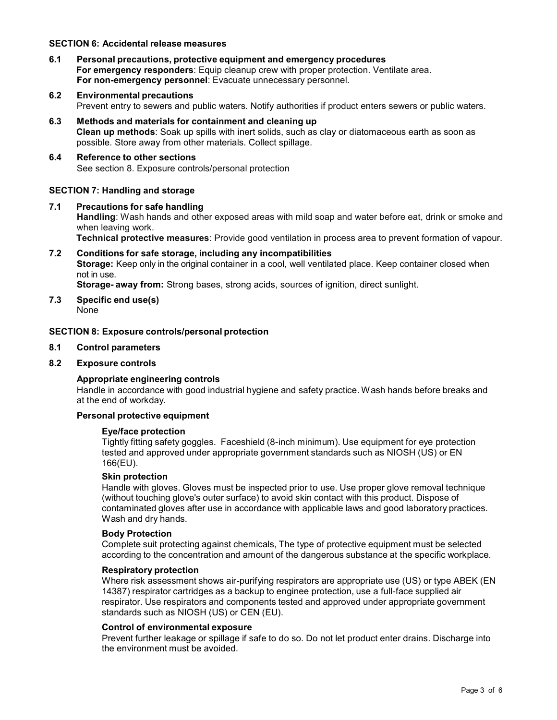#### **SECTION 6: Accidental release measures**

- **6.1 Personal precautions, protective equipment and emergency procedures For emergency responders**: Equip cleanup crew with proper protection. Ventilate area. **For non-emergency personnel**: Evacuate unnecessary personnel.
- **6.2 Environmental precautions** Prevent entry to sewers and public waters. Notify authorities if product enters sewers or public waters.
- **6.3 Methods and materials for containment and cleaning up Clean up methods**: Soak up spills with inert solids, such as clay or diatomaceous earth as soon as possible. Store away from other materials. Collect spillage.
- **6.4 Reference to other sections** See section 8. Exposure controls/personal protection

## **SECTION 7: Handling and storage**

**7.1 Precautions for safe handling Handling**: Wash hands and other exposed areas with mild soap and water before eat, drink or smoke and when leaving work. **Technical protective measures**: Provide good ventilation in process area to prevent formation of vapour.

**7.2 Conditions for safe storage, including any incompatibilities Storage:** Keep only in the original container in a cool, well ventilated place. Keep container closed when not in use. **Storage- away from:** Strong bases, strong acids, sources of ignition, direct sunlight.

**7.3 Specific end use(s)**

None

## **SECTION 8: Exposure controls/personal protection**

#### **8.1 Control parameters**

#### **8.2 Exposure controls**

## **Appropriate engineering controls**

Handle in accordance with good industrial hygiene and safety practice. Wash hands before breaks and at the end of workday.

#### **Personal protective equipment**

#### **Eye/face protection**

Tightly fitting safety goggles. Faceshield (8-inch minimum). Use equipment for eye protection tested and approved under appropriate government standards such as NIOSH (US) or EN 166(EU).

#### **Skin protection**

Handle with gloves. Gloves must be inspected prior to use. Use proper glove removal technique (without touching glove's outer surface) to avoid skin contact with this product. Dispose of contaminated gloves after use in accordance with applicable laws and good laboratory practices. Wash and dry hands.

#### **Body Protection**

Complete suit protecting against chemicals, The type of protective equipment must be selected according to the concentration and amount of the dangerous substance at the specific workplace.

#### **Respiratory protection**

Where risk assessment shows air-purifying respirators are appropriate use (US) or type ABEK (EN 14387) respirator cartridges as a backup to enginee protection, use a full-face supplied air respirator. Use respirators and components tested and approved under appropriate government standards such as NIOSH (US) or CEN (EU).

#### **Control of environmental exposure**

Prevent further leakage or spillage if safe to do so. Do not let product enter drains. Discharge into the environment must be avoided.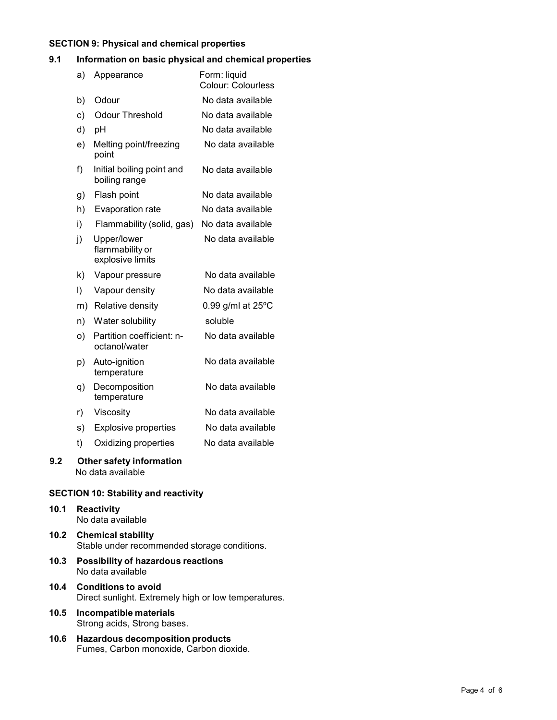### **SECTION 9: Physical and chemical properties**

## **9.1 Information on basic physical and chemical properties**

|     | a)      | Appearance                                         | Form: liquid<br><b>Colour: Colourless</b> |
|-----|---------|----------------------------------------------------|-------------------------------------------|
|     | b)      | Odour                                              | No data available                         |
|     | C)      | <b>Odour Threshold</b>                             | No data available                         |
|     | d)      | pH                                                 | No data available                         |
|     | e)      | Melting point/freezing<br>point                    | No data available                         |
|     | f)      | Initial boiling point and<br>boiling range         | No data available                         |
|     | g)      | Flash point                                        | No data available                         |
|     | h)      | Evaporation rate                                   | No data available                         |
|     | i)      | Flammability (solid, gas)                          | No data available                         |
|     | j)      | Upper/lower<br>flammability or<br>explosive limits | No data available                         |
|     | k).     | Vapour pressure                                    | No data available                         |
|     | $\vert$ | Vapour density                                     | No data available                         |
|     |         | m) Relative density                                | $0.99$ g/ml at $25^{\circ}$ C             |
|     | n)      | Water solubility                                   | soluble                                   |
|     | O)      | Partition coefficient: n-<br>octanol/water         | No data available                         |
|     | p)      | Auto-ignition<br>temperature                       | No data available                         |
|     | q)      | Decomposition<br>temperature                       | No data available                         |
|     | r)      | Viscosity                                          | No data available                         |
|     | s)      | <b>Explosive properties</b>                        | No data available                         |
|     | t)      | Oxidizing properties                               | No data available                         |
| 9.2 |         | Other safety information                           |                                           |

No data available

## **SECTION 10: Stability and reactivity**

- **10.1 Reactivity** No data available **10.2 Chemical stability**
	- Stable under recommended storage conditions.
- **10.3 Possibility of hazardous reactions** No data available
- **10.4 Conditions to avoid** Direct sunlight. Extremely high or low temperatures.
- **10.5 Incompatible materials** Strong acids, Strong bases.
- **10.6 Hazardous decomposition products** Fumes, Carbon monoxide, Carbon dioxide.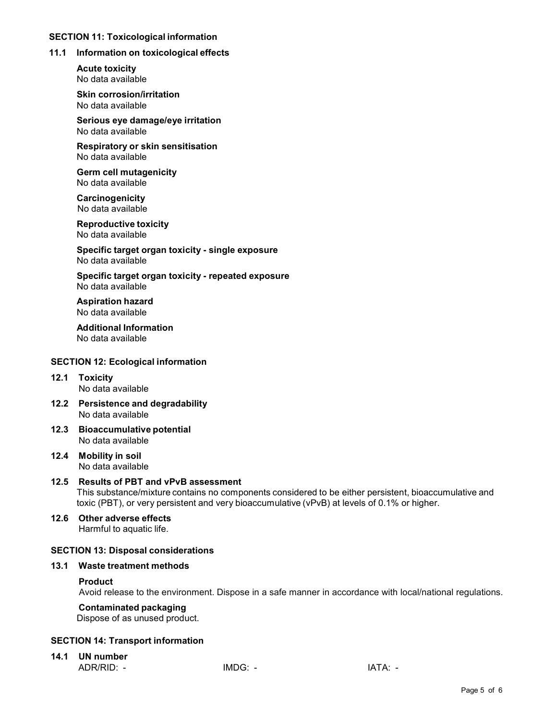## **SECTION 11: Toxicological information**

## **11.1 Information on toxicological effects**

**Acute toxicity** No data available

**Skin corrosion/irritation** No data available

**Serious eye damage/eye irritation** No data available

**Respiratory orskin sensitisation** No data available

**Germ cell mutagenicity** No data available

**Carcinogenicity** No data available

**Reproductive toxicity** No data available

**Specific target organ toxicity - single exposure** No data available

**Specific target organ toxicity - repeated exposure** No data available

**Aspiration hazard** No data available

**Additional Information** No data available

## **SECTION 12: Ecological information**

- **12.1 Toxicity** No data available
- **12.2 Persistence and degradability** No data available
- **12.3 Bioaccumulative potential** No data available
- **12.4 Mobility in soil** No data available

## **12.5 Results of PBT and vPvB assessment**

This substance/mixture contains no components considered to be either persistent, bioaccumulative and toxic (PBT), or very persistent and very bioaccumulative (vPvB) at levels of 0.1% or higher.

**12.6 Other adverse effects** Harmful to aquatic life.

#### **SECTION 13: Disposal considerations**

#### **13.1 Waste treatment methods**

## **Product**

Avoid release to the environment. Dispose in a safe manner in accordance with local/national regulations.

## **Contaminated packaging**

Dispose of as unused product.

## **SECTION 14: Transport information**

**14.1 UN number** ADR/RID: - IMDG: - IMDG: - IATA: -